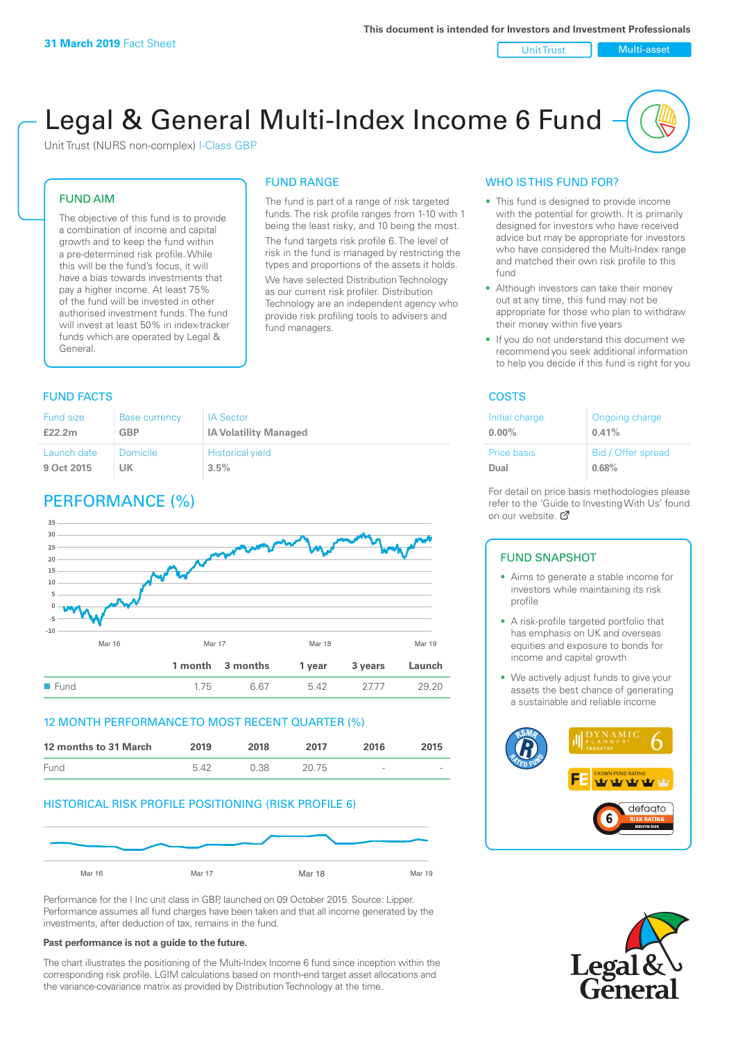Unit Trust Nulti-asset

# Legal & General Multi-Index Income 6 Fund

Unit Trust (NURS non-complex) I-Class GBP

#### FUND AIM

The objective of this fund is to provide a combination of income and capital growth and to keep the fund within a pre-determined risk profile. While this will be the fund's focus, it will have a bias towards investments that pay a higher income. At least 75% of the fund will be invested in other authorised investment funds. The fund will invest at least 50% in index-tracker funds which are operated by Legal & General.

## FUND RANGE

The fund is part of a range of risk targeted funds. The risk profile ranges from 1-10 with 1 being the least risky, and 10 being the most. The fund targets risk profile 6. The level of risk in the fund is managed by restricting the

types and proportions of the assets it holds. We have selected Distribution Technology as our current risk profiler. Distribution Technology are an independent agency who provide risk profiling tools to advisers and fund managers.

#### **FUND FACTS** COSTS

| Fund size   | <b>Base currency</b> | <b>IA Sector</b>             |
|-------------|----------------------|------------------------------|
| £22.2m      | <b>GBP</b>           | <b>IA Volatility Managed</b> |
| Launch date | Domicile             | <b>Historical yield</b>      |
| 9 Oct 2015  | UK                   | 3.5%                         |

### PERFORMANCE (%)



#### 12 MONTH PERFORMANCE TO MOST RECENT QUARTER (%)



#### HISTORICAL RISK PROFILE POSITIONING (RISK PROFILE 6)



Performance for the I Inc unit class in GBP, launched on 09 October 2015. Source: Lipper. Performance assumes all fund charges have been taken and that all income generated by the investments, after deduction of tax, remains in the fund.

#### **Past performance is not a guide to the future.**

The chart illustrates the positioning of the Multi-Index Income 6 fund since inception within the corresponding risk profile. LGIM calculations based on month-end target asset allocations and the variance-covariance matrix as provided by Distribution Technology at the time.

#### WHO IS THIS FUND FOR?

- This fund is designed to provide income with the potential for growth. It is primarily designed for investors who have received advice but may be appropriate for investors who have considered the Multi-Index range and matched their own risk profile to this fund
- Although investors can take their money out at any time, this fund may not be appropriate for those who plan to withdraw their money within five years
- If you do not understand this document we recommend you seek additional information to help you decide if this fund is right for you

| Initial charge | Ongoing charge     |
|----------------|--------------------|
| $0.00\%$       | 0.41%              |
| Price basis    | Bid / Offer spread |
| Dual           | 0.68%              |

For detail on price basis methodologies please refer to the 'Gu[ide t](http://www.legalandgeneral.com/guide)o Investing With Us' found on our website. Ø

#### FUND SNAPSHOT

- Aims to generate a stable income for investors while maintaining its risk profile
- A risk-profile targeted portfolio that has emphasis on UK and overseas equities and exposure to bonds for income and capital growth
- We actively adjust funds to give your assets the best chance of generating a sustainable and reliable income



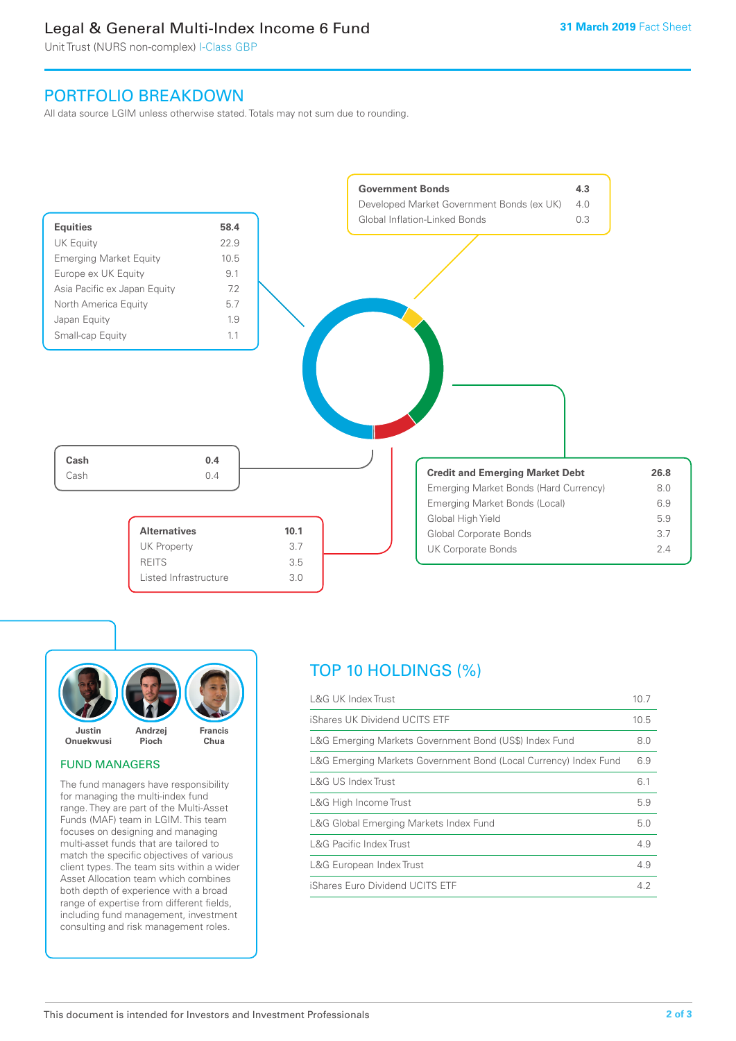### Legal & General Multi-Index Income 6 Fund

Unit Trust (NURS non-complex) I-Class GBP

### PORTFOLIO BREAKDOWN

All data source LGIM unless otherwise stated. Totals may not sum due to rounding.



![](_page_1_Picture_6.jpeg)

#### FUND MANAGERS

The fund managers have responsibility for managing the multi-index fund range. They are part of the Multi-Asset Funds (MAF) team in LGIM. This team focuses on designing and managing multi-asset funds that are tailored to match the specific objectives of various client types. The team sits within a wider Asset Allocation team which combines both depth of experience with a broad range of expertise from different fields, including fund management, investment consulting and risk management roles.

### TOP 10 HOLDINGS (%)

| <b>L&amp;G UK Index Trust</b>                                    | 10.7 |
|------------------------------------------------------------------|------|
| iShares UK Dividend UCITS ETF                                    | 10.5 |
| L&G Emerging Markets Government Bond (US\$) Index Fund           | 8.0  |
| L&G Emerging Markets Government Bond (Local Currency) Index Fund | 6.9  |
| <b>L&amp;G US Index Trust</b>                                    | 6.1  |
| L&G High Income Trust                                            | 5.9  |
| L&G Global Emerging Markets Index Fund                           | 5.0  |
| <b>L&amp;G Pacific Index Trust</b>                               | 4.9  |
| L&G European Index Trust                                         | 4.9  |
| iShares Euro Dividend UCITS ETF                                  | 4.2  |